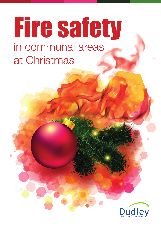## Fire safety in communal areas at Christmas